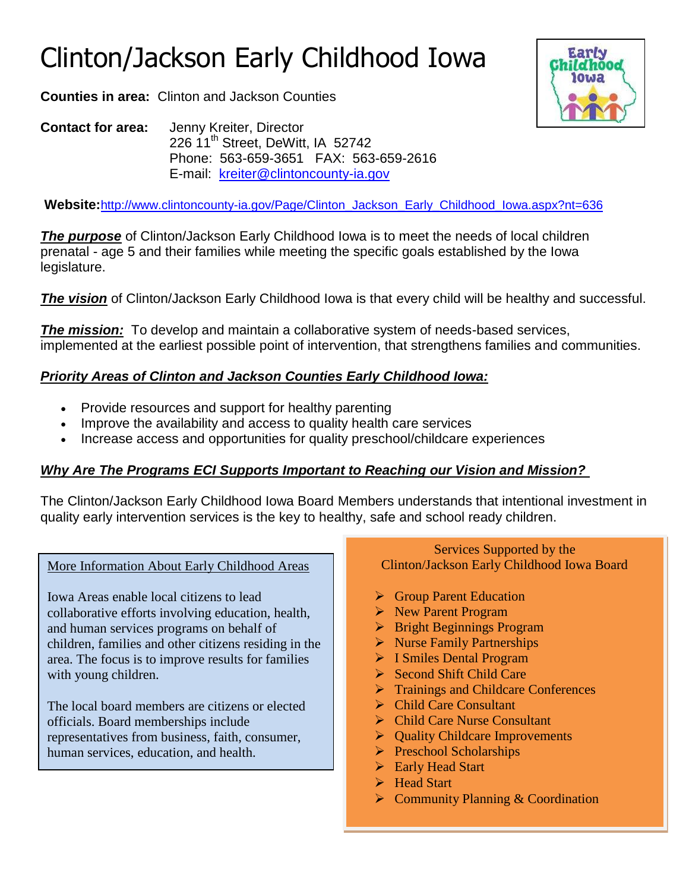# Clinton/Jackson Early Childhood Iowa

**Counties in area:** Clinton and Jackson Counties

**Contact for area:** Jenny Kreiter, Director 226 11<sup>th</sup> Street, DeWitt, IA 52742 Phone: 563-659-3651 FAX: 563-659-2616 E-mail: [kreiter@clintoncounty-ia.gov](mailto:kreiter@clintoncounty-ia.gov)

**Website:**[http://www.clintoncounty-ia.gov/Page/Clinton\\_Jackson\\_Early\\_Childhood\\_Iowa.aspx?nt=636](http://www.clintoncounty-ia.gov/Page/Clinton_Jackson_Early_Childhood_Iowa.aspx?nt=636)

**The purpose** of Clinton/Jackson Early Childhood Iowa is to meet the needs of local children prenatal - age 5 and their families while meeting the specific goals established by the Iowa legislature.

**The vision** of Clinton/Jackson Early Childhood Iowa is that every child will be healthy and successful.

*The mission:* To develop and maintain a collaborative system of needs-based services, implemented at the earliest possible point of intervention, that strengthens families and communities.

# *Priority Areas of Clinton and Jackson Counties Early Childhood Iowa:*

- Provide resources and support for healthy parenting
- Improve the availability and access to quality health care services
- Increase access and opportunities for quality preschool/childcare experiences

### *Why Are The Programs ECI Supports Important to Reaching our Vision and Mission?*

The Clinton/Jackson Early Childhood Iowa Board Members understands that intentional investment in quality early intervention services is the key to healthy, safe and school ready children.

More Information About Early Childhood Areas

collaborative efforts involving education, health, Iowa Areas enable local citizens to lead and human services programs on behalf of children, families and other citizens residing in the area. The focus is to improve results for families with young children.

The local board members are citizens or elected officials. Board memberships include representatives from business, faith, consumer, human services, education, and health.

Services Supported by the Clinton/Jackson Early Childhood Iowa Board

- **► Group Parent Education**
- New Parent Program
- $\triangleright$  Bright Beginnings Program
- $\triangleright$  Nurse Family Partnerships
- > I Smiles Dental Program
- $\triangleright$  Second Shift Child Care
- **Trainings and Childcare Conferences**
- **►** Child Care Consultant
- Child Care Nurse Consultant
- **►** Quality Childcare Improvements
- **Preschool Scholarships**
- ▶ Early Head Start
- Head Start
- $\triangleright$  Community Planning & Coordination